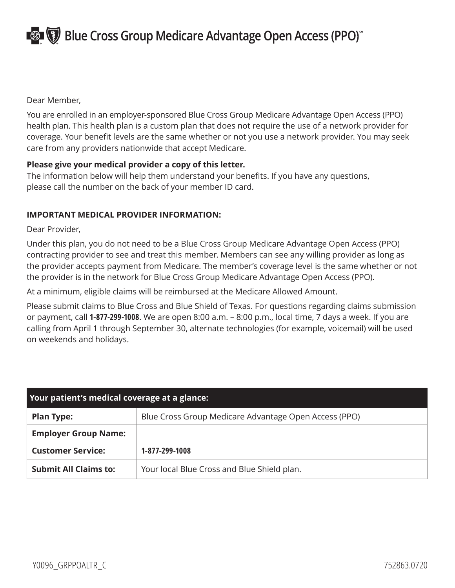**Blue Cross Group Medicare Advantage Open Access (PPO)** 

Dear Member,

You are enrolled in an employer-sponsored Blue Cross Group Medicare Advantage Open Access (PPO) health plan. This health plan is a custom plan that does not require the use of a network provider for coverage. Your benefit levels are the same whether or not you use a network provider. You may seek care from any providers nationwide that accept Medicare.

## **Please give your medical provider a copy of this letter.**

The information below will help them understand your benefits. If you have any questions, please call the number on the back of your member ID card.

## **IMPORTANT MEDICAL PROVIDER INFORMATION:**

Dear Provider,

Under this plan, you do not need to be a Blue Cross Group Medicare Advantage Open Access (PPO) contracting provider to see and treat this member. Members can see any willing provider as long as the provider accepts payment from Medicare. The member's coverage level is the same whether or not the provider is in the network for Blue Cross Group Medicare Advantage Open Access (PPO).

At a minimum, eligible claims will be reimbursed at the Medicare Allowed Amount.

Please submit claims to Blue Cross and Blue Shield of Texas. For questions regarding claims submission or payment, call **1-877-299-1008**. We are open 8:00 a.m. – 8:00 p.m., local time, 7 days a week. If you are calling from April 1 through September 30, alternate technologies (for example, voicemail) will be used on weekends and holidays.

| Your patient's medical coverage at a glance: |                                                       |
|----------------------------------------------|-------------------------------------------------------|
| <b>Plan Type:</b>                            | Blue Cross Group Medicare Advantage Open Access (PPO) |
| <b>Employer Group Name:</b>                  |                                                       |
| <b>Customer Service:</b>                     | 1-877-299-1008                                        |
| <b>Submit All Claims to:</b>                 | Your local Blue Cross and Blue Shield plan.           |